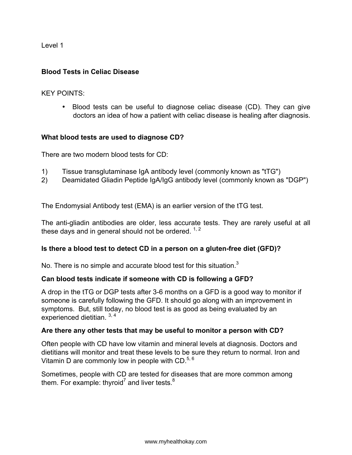Level 1

### **Blood Tests in Celiac Disease**

KEY POINTS:

• Blood tests can be useful to diagnose celiac disease (CD). They can give doctors an idea of how a patient with celiac disease is healing after diagnosis.

### **What blood tests are used to diagnose CD?**

There are two modern blood tests for CD:

- 1) Tissue transglutaminase IgA antibody level (commonly known as "tTG")
- 2) Deamidated Gliadin Peptide IgA/IgG antibody level (commonly known as "DGP")

The Endomysial Antibody test (EMA) is an earlier version of the tTG test.

The anti-gliadin antibodies are older, less accurate tests. They are rarely useful at all these days and in general should not be ordered.  $1, 2$ 

#### **Is there a blood test to detect CD in a person on a gluten-free diet (GFD)?**

No. There is no simple and accurate blood test for this situation. $3$ 

## **Can blood tests indicate if someone with CD is following a GFD?**

A drop in the tTG or DGP tests after 3-6 months on a GFD is a good way to monitor if someone is carefully following the GFD. It should go along with an improvement in symptoms. But, still today, no blood test is as good as being evaluated by an experienced dietitian. 3, 4

#### **Are there any other tests that may be useful to monitor a person with CD?**

Often people with CD have low vitamin and mineral levels at diagnosis. Doctors and dietitians will monitor and treat these levels to be sure they return to normal. Iron and Vitamin D are commonly low in people with CD. $5,6$ 

Sometimes, people with CD are tested for diseases that are more common among them. For example: thyroid<sup>7</sup> and liver tests.<sup>8</sup>